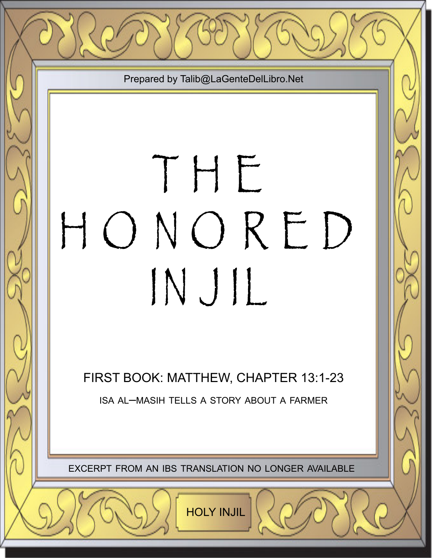Prepared by Talib@LaGenteDelLibro.Net

## T H E H O N O R E D IN J IL

FIRST BOOK: MATTHEW, CHAPTER 13:1-23 ISA AL–MASIH TELLS A STORY ABOUT A FARMER

EXCERPT FROM AN IBS TRANSLATION NO LONGER AVAILABLE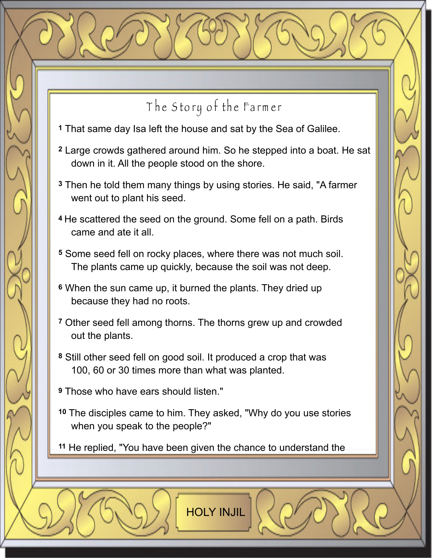## The Story of the Farmer

- **1** That same day Isa left the house and sat by the Sea of Galilee.
- **2** Large crowds gathered around him. So he stepped into a boat. He sat down in it. All the people stood on the shore.
- **3** Then he told them many things by using stories. He said, "A farmer went out to plant his seed.
- **4** He scattered the seed on the ground. Some fell on a path. Birds came and ate it all.
- **5** Some seed fell on rocky places, where there was not much soil. The plants came up quickly, because the soil was not deep.
- **6** When the sun came up, it burned the plants. They dried up because they had no roots.
- **7** Other seed fell among thorns. The thorns grew up and crowded out the plants.
- **8** Still other seed fell on good soil. It produced a crop that was 100, 60 or 30 times more than what was planted.

**9** Those who have ears should listen."

**10** The disciples came to him. They asked, "Why do you use stories when you speak to the people?"

**11** He replied, "You have been given the chance to understand the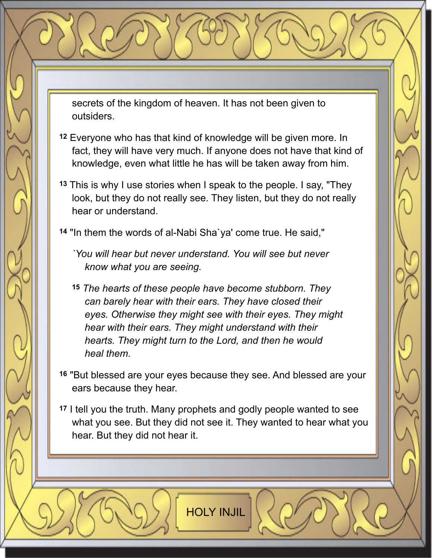secrets of the kingdom of heaven. It has not been given to outsiders.

- **12** Everyone who has that kind of knowledge will be given more. In fact, they will have very much. If anyone does not have that kind of knowledge, even what little he has will be taken away from him.
- **13** This is why I use stories when I speak to the people. I say, "They look, but they do not really see. They listen, but they do not really hear or understand.

**14** "In them the words of al-Nabi Sha`ya' come true. He said,"

- *`You will hear but never understand. You will see but never know what you are seeing.*
- **15** *The hearts of these people have become stubborn. They can barely hear with their ears. They have closed their eyes. Otherwise they might see with their eyes. They might hear with their ears. They might understand with their hearts. They might turn to the Lord, and then he would heal them.*
- **16** "But blessed are your eyes because they see. And blessed are your ears because they hear.
- **17** I tell you the truth. Many prophets and godly people wanted to see what you see. But they did not see it. They wanted to hear what you hear. But they did not hear it.